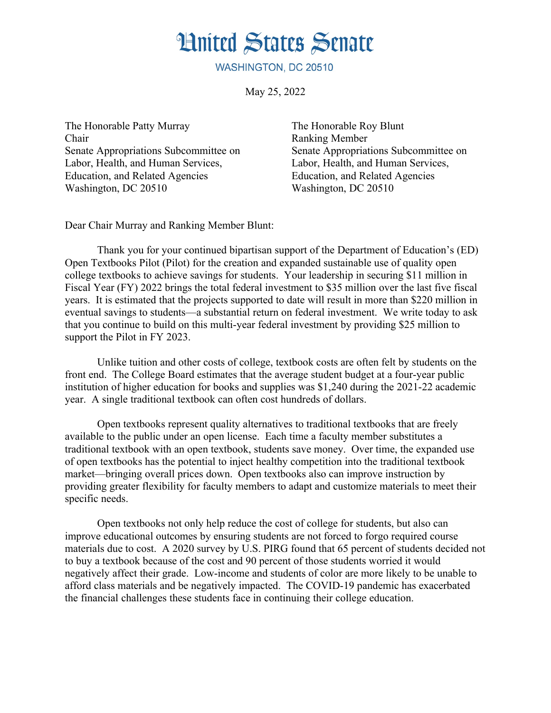## **Hnited States Senate**

WASHINGTON, DC 20510

May 25, 2022

The Honorable Patty Murray The Honorable Roy Blunt Chair Ranking Member Labor, Health, and Human Services, Labor, Health, and Human Services, Education, and Related Agencies Education, and Related Agencies Washington, DC 20510 Washington, DC 20510

Senate Appropriations Subcommittee on Senate Appropriations Subcommittee on

Dear Chair Murray and Ranking Member Blunt:

Thank you for your continued bipartisan support of the Department of Education's (ED) Open Textbooks Pilot (Pilot) for the creation and expanded sustainable use of quality open college textbooks to achieve savings for students. Your leadership in securing \$11 million in Fiscal Year (FY) 2022 brings the total federal investment to \$35 million over the last five fiscal years. It is estimated that the projects supported to date will result in more than \$220 million in eventual savings to students—a substantial return on federal investment. We write today to ask that you continue to build on this multi-year federal investment by providing \$25 million to support the Pilot in FY 2023.

Unlike tuition and other costs of college, textbook costs are often felt by students on the front end. The College Board estimates that the average student budget at a four-year public institution of higher education for books and supplies was \$1,240 during the 2021-22 academic year. A single traditional textbook can often cost hundreds of dollars.

Open textbooks represent quality alternatives to traditional textbooks that are freely available to the public under an open license. Each time a faculty member substitutes a traditional textbook with an open textbook, students save money. Over time, the expanded use of open textbooks has the potential to inject healthy competition into the traditional textbook market—bringing overall prices down. Open textbooks also can improve instruction by providing greater flexibility for faculty members to adapt and customize materials to meet their specific needs.

Open textbooks not only help reduce the cost of college for students, but also can improve educational outcomes by ensuring students are not forced to forgo required course materials due to cost. A 2020 survey by U.S. PIRG found that 65 percent of students decided not to buy a textbook because of the cost and 90 percent of those students worried it would negatively affect their grade. Low-income and students of color are more likely to be unable to afford class materials and be negatively impacted. The COVID-19 pandemic has exacerbated the financial challenges these students face in continuing their college education.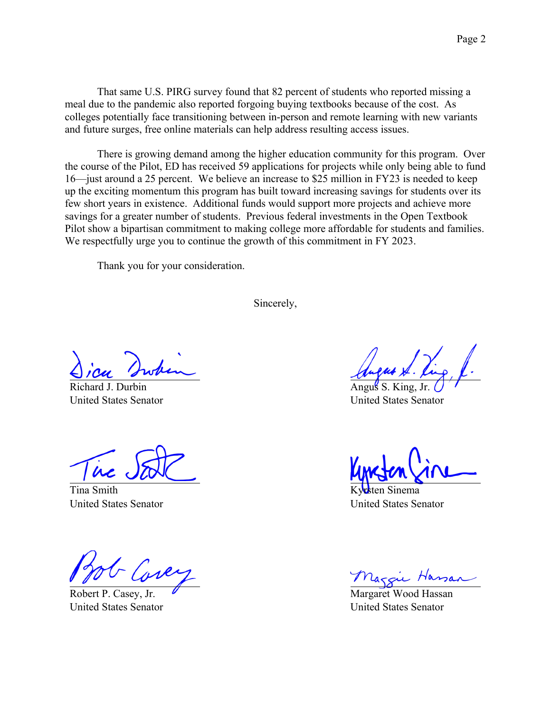That same U.S. PIRG survey found that 82 percent of students who reported missing a meal due to the pandemic also reported forgoing buying textbooks because of the cost. As colleges potentially face transitioning between in-person and remote learning with new variants and future surges, free online materials can help address resulting access issues.

There is growing demand among the higher education community for this program. Over the course of the Pilot, ED has received 59 applications for projects while only being able to fund 16—just around a 25 percent. We believe an increase to \$25 million in FY23 is needed to keep up the exciting momentum this program has built toward increasing savings for students over its few short years in existence. Additional funds would support more projects and achieve more savings for a greater number of students. Previous federal investments in the Open Textbook Pilot show a bipartisan commitment to making college more affordable for students and families. We respectfully urge you to continue the growth of this commitment in FY 2023.

Thank you for your consideration.

Sincerely,

Richard J. Durbin United States Senator

Tina Smith United States Senator

P. Casey, Jr. United States Senator

Angus S. King, Jr. United States Senator

hema United States Senator

Maggie Hassan

United States Senator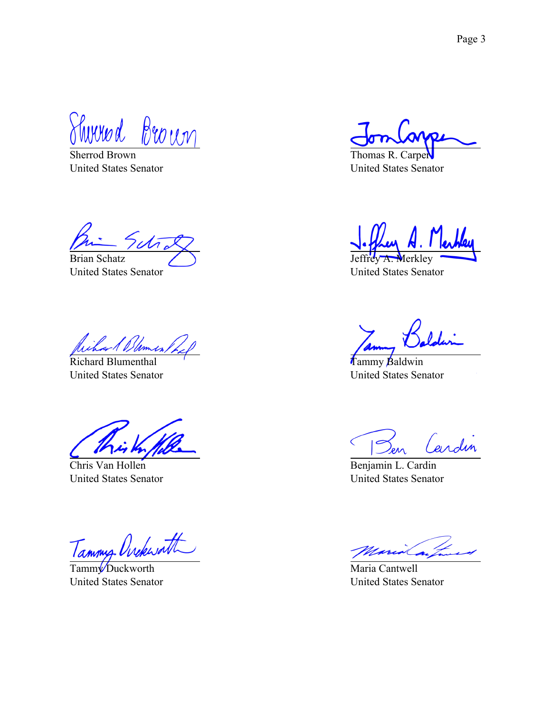Thured Brown

Sherrod Brown United States Senator

rcti Brian Schatz

United States Senator

Richard Blumenthal United States Senator

Chris Van Hollen United States Senator

Tammy Ovekwath

TammyDuckworth United States Senator

Thomas R. Carper United States Senator

**M**erklev

United States Senator

Tammy Baldwin United States Senator

 $\sqrt{2}$ Cardin

Benjamin L. Cardin United States Senator

Maria Cantwell United States Senator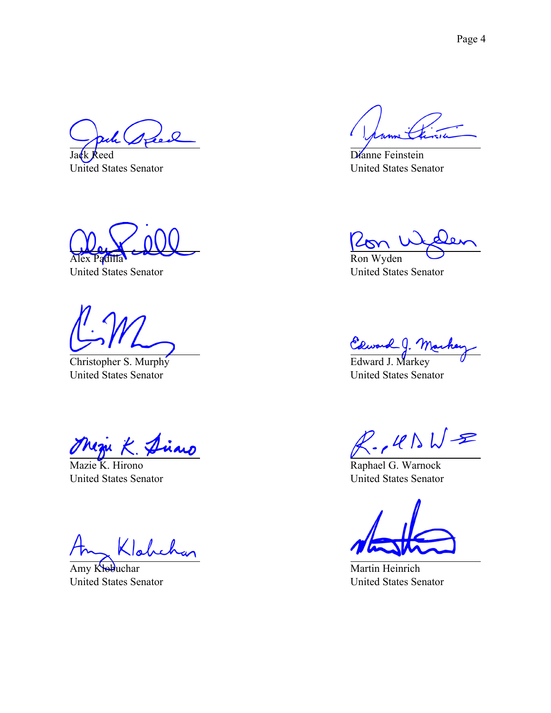$\overline{O}$ 

Jack Reed United States Senator

Alex Padilla

United States Senator

Christopher S. Murphy United States Senator

Magu K. Diaro

Mazie K. Hirono United States Senator

Amy Klobuchar United States Senator

Dianne Feinstein United States Senator

 $\omega$ 

Ron Wyden United States Senator

Edward J. Ma

United States Senator

 $R.145WE$ 

Raphael G. Warnock United States Senator

Martin Heinrich United States Senator